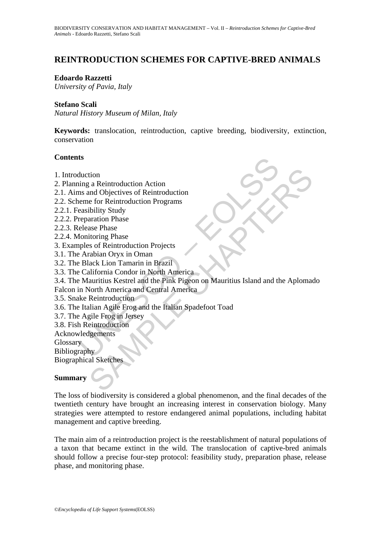# **REINTRODUCTION SCHEMES FOR CAPTIVE-BRED ANIMALS**

#### **Edoardo Razzetti**

*University of Pavia, Italy* 

#### **Stefano Scali**

*Natural History Museum of Milan, Italy* 

**Keywords:** translocation, reintroduction, captive breeding, biodiversity, extinction, conservation

#### **Contents**

- 1. Introduction
- 2. Planning a Reintroduction Action
- 2.1. Aims and Objectives of Reintroduction
- 2.2. Scheme for Reintroduction Programs
- 2.2.1. Feasibility Study
- 2.2.2. Preparation Phase
- 2.2.3. Release Phase
- 2.2.4. Monitoring Phase
- 3. Examples of Reintroduction Projects
- 3.1. The Arabian Oryx in Oman
- 3.2. The Black Lion Tamarin in Brazil
- 3.3. The California Condor in North America
- **ts**<br>
duction<br>
ming a Reintroduction Action<br>
ms and Objectives of Reintroduction<br>
meme for Reintroduction Programs<br>
elease Phase<br>
elease Phase<br>
dense Phase<br>
dense Phase<br>
dense of Reintroduction Projects<br>
Arabian Oryx in Om tion<br>
a Reintroduction Action<br>
and Objectives of Reintroduction<br>
e for Reintroduction Programs<br>
ibility Study<br>
aration Phase<br>
tion Tamarin in Brazil<br>
acta Lion Tamarin in Brazil<br>
acta Lion Tamarin in Brazil<br>
aliformia Cond 3.4. The Mauritius Kestrel and the Pink Pigeon on Mauritius Island and the Aplomado
- Falcon in North America and Central America
- 3.5. Snake Reintroduction
- 3.6. The Italian Agile Frog and the Italian Spadefoot Toad
- 3.7. The Agile Frog in Jersey
- 3.8. Fish Reintroduction
- Acknowledgements
- **Glossary**

Bibliography

Biographical Sketches

## **Summary**

The loss of biodiversity is considered a global phenomenon, and the final decades of the twentieth century have brought an increasing interest in conservation biology. Many strategies were attempted to restore endangered animal populations, including habitat management and captive breeding.

The main aim of a reintroduction project is the reestablishment of natural populations of a taxon that became extinct in the wild. The translocation of captive-bred animals should follow a precise four-step protocol: feasibility study, preparation phase, release phase, and monitoring phase.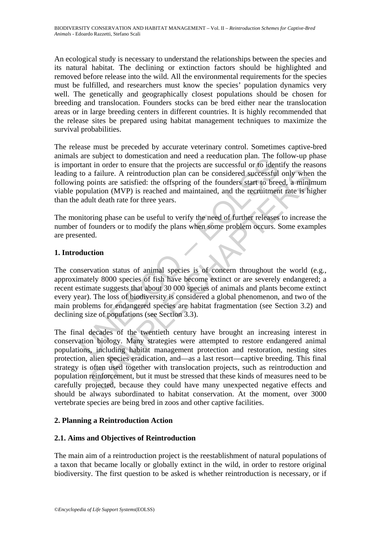An ecological study is necessary to understand the relationships between the species and its natural habitat. The declining or extinction factors should be highlighted and removed before release into the wild. All the environmental requirements for the species must be fulfilled, and researchers must know the species' population dynamics very well. The genetically and geographically closest populations should be chosen for breeding and translocation. Founders stocks can be bred either near the translocation areas or in large breeding centers in different countries. It is highly recommended that the release sites be prepared using habitat management techniques to maximize the survival probabilities.

The release must be preceded by accurate veterinary control. Sometimes captive-bred animals are subject to domestication and need a reeducation plan. The follow-up phase is important in order to ensure that the projects are successful or to identify the reasons leading to a failure. A reintroduction plan can be considered successful only when the following points are satisfied: the offspring of the founders start to breed, a minimum viable population (MVP) is reached and maintained, and the recruitment rate is higher than the adult death rate for three years.

The monitoring phase can be useful to verify the need of further releases to increase the number of founders or to modify the plans when some problem occurs. Some examples are presented.

# **1. Introduction**

are subject to connestration and need a recultation priai. The reduction<br>trant in order to ensure that the projects are successful or to ident<br>to a failure. A reintroduction plan can be considered successful<br>g points are s The conservation status of animal species is of concern throughout the world (e.g., approximately 8000 species of fish have become extinct or are severely endangered; a recent estimate suggests that about 30 000 species of animals and plants become extinct every year). The loss of biodiversity is considered a global phenomenon, and two of the main problems for endangered species are habitat fragmentation (see Section 3.2) and declining size of populations (see Section 3.3).

a failure. A reintroduction plan can be considered successful only when<br>a failure. A reintroduction plan can be considered successful only when<br>points are satisfied: the offspring of the founders start to breed, a minim<br>ul The final decades of the twentieth century have brought an increasing interest in conservation biology. Many strategies were attempted to restore endangered animal populations, including habitat management protection and restoration, nesting sites protection, alien species eradication, and—as a last resort—captive breeding. This final strategy is often used together with translocation projects, such as reintroduction and population reinforcement, but it must be stressed that these kinds of measures need to be carefully projected, because they could have many unexpected negative effects and should be always subordinated to habitat conservation. At the moment, over 3000 vertebrate species are being bred in zoos and other captive facilities.

## **2. Planning a Reintroduction Action**

## **2.1. Aims and Objectives of Reintroduction**

The main aim of a reintroduction project is the reestablishment of natural populations of a taxon that became locally or globally extinct in the wild, in order to restore original biodiversity. The first question to be asked is whether reintroduction is necessary, or if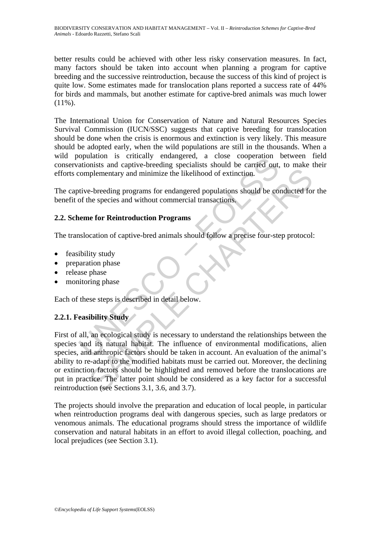better results could be achieved with other less risky conservation measures. In fact, many factors should be taken into account when planning a program for captive breeding and the successive reintroduction, because the success of this kind of project is quite low. Some estimates made for translocation plans reported a success rate of 44% for birds and mammals, but another estimate for captive-bred animals was much lower  $(11\%)$ .

The International Union for Conservation of Nature and Natural Resources Species Survival Commission (IUCN/SSC) suggests that captive breeding for translocation should be done when the crisis is enormous and extinction is very likely. This measure should be adopted early, when the wild populations are still in the thousands. When a wild population is critically endangered, a close cooperation between field conservationists and captive-breeding specialists should be carried out, to make their efforts complementary and minimize the likelihood of extinction.

The captive-breeding programs for endangered populations should be conducted for the benefit of the species and without commercial transactions.

# **2.2. Scheme for Reintroduction Programs**

The translocation of captive-bred animals should follow a precise four-step protocol:

- feasibility study
- preparation phase
- release phase
- monitoring phase

Each of these steps is described in detail below.

# **2.2.1. Feasibility Study**

opputation is chiractary entaggered, a close cooperation<br>tationists and captive-breeding specialists should be carried out,<br>complementary and minimize the likelihood of extinction.<br>tive-breeding programs for endangered pop interior and minimize the likelihood of extinction.<br>
The checking programs for endangered populations should be conducted for<br>
the species and without commercial transactions<br>
are for **Reintroduction Programs**<br>
ceation of First of all, an ecological study is necessary to understand the relationships between the species and its natural habitat. The influence of environmental modifications, alien species, and anthropic factors should be taken in account. An evaluation of the animal's ability to re-adapt to the modified habitats must be carried out. Moreover, the declining or extinction factors should be highlighted and removed before the translocations are put in practice. The latter point should be considered as a key factor for a successful reintroduction (see Sections 3.1, 3.6, and 3.7).

The projects should involve the preparation and education of local people, in particular when reintroduction programs deal with dangerous species, such as large predators or venomous animals. The educational programs should stress the importance of wildlife conservation and natural habitats in an effort to avoid illegal collection, poaching, and local prejudices (see Section 3.1).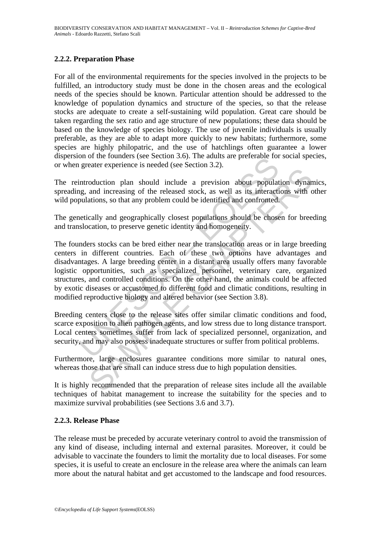## **2.2.2. Preparation Phase**

For all of the environmental requirements for the species involved in the projects to be fulfilled, an introductory study must be done in the chosen areas and the ecological needs of the species should be known. Particular attention should be addressed to the knowledge of population dynamics and structure of the species, so that the release stocks are adequate to create a self-sustaining wild population. Great care should be taken regarding the sex ratio and age structure of new populations; these data should be based on the knowledge of species biology. The use of juvenile individuals is usually preferable, as they are able to adapt more quickly to new habitats; furthermore, some species are highly philopatric, and the use of hatchlings often guarantee a lower dispersion of the founders (see Section 3.6). The adults are preferable for social species, or when greater experience is needed (see Section 3.2).

The reintroduction plan should include a prevision about population dynamics, spreading, and increasing of the released stock, as well as its interactions with other wild populations, so that any problem could be identified and confronted.

The genetically and geographically closest populations should be chosen for breeding and translocation, to preserve genetic identity and homogeneity.

of the foundation state of section 3.0). The adults are preferable for<br>greater experience is needed (see Section 3.2).<br>introduction plan should include a prevision about populat<br>g, and increasing of the released stock, as nation plan should include a prevision about population dynam and increasing of the released stock, as well as its interactions with cations, so that any problem could be identified and confronted.<br>Cally and geographically The founders stocks can be bred either near the translocation areas or in large breeding centers in different countries. Each of these two options have advantages and disadvantages. A large breeding center in a distant area usually offers many favorable logistic opportunities, such as specialized personnel, veterinary care, organized structures, and controlled conditions. On the other hand, the animals could be affected by exotic diseases or accustomed to different food and climatic conditions, resulting in modified reproductive biology and altered behavior (see Section 3.8).

Breeding centers close to the release sites offer similar climatic conditions and food, scarce exposition to alien pathogen agents, and low stress due to long distance transport. Local centers sometimes suffer from lack of specialized personnel, organization, and security, and may also possess inadequate structures or suffer from political problems.

Furthermore, large enclosures guarantee conditions more similar to natural ones, whereas those that are small can induce stress due to high population densities.

It is highly recommended that the preparation of release sites include all the available techniques of habitat management to increase the suitability for the species and to maximize survival probabilities (see Sections 3.6 and 3.7).

#### **2.2.3. Release Phase**

The release must be preceded by accurate veterinary control to avoid the transmission of any kind of disease, including internal and external parasites. Moreover, it could be advisable to vaccinate the founders to limit the mortality due to local diseases. For some species, it is useful to create an enclosure in the release area where the animals can learn more about the natural habitat and get accustomed to the landscape and food resources.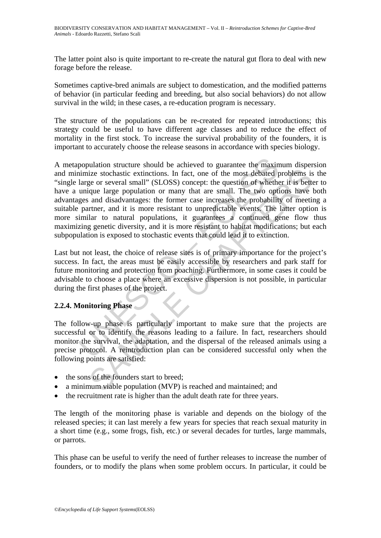The latter point also is quite important to re-create the natural gut flora to deal with new forage before the release.

Sometimes captive-bred animals are subject to domestication, and the modified patterns of behavior (in particular feeding and breeding, but also social behaviors) do not allow survival in the wild; in these cases, a re-education program is necessary.

The structure of the populations can be re-created for repeated introductions; this strategy could be useful to have different age classes and to reduce the effect of mortality in the first stock. To increase the survival probability of the founders, it is important to accurately choose the release seasons in accordance with species biology.

population structure should be achieved to guarantee the maximimize stochastic extinctions. In fact, one of the most debated plarge or several small" (SLOSS) concept: the question of whethe unique large population or many ize stochastic extinctions. In fact, one of the most debated problems is<br>eige or several small" (SLOSS) concept: the question of whether it is bett<br>que large population or many that are small. The two options fave<br>and disa A metapopulation structure should be achieved to guarantee the maximum dispersion and minimize stochastic extinctions. In fact, one of the most debated problems is the "single large or several small" (SLOSS) concept: the question of whether it is better to have a unique large population or many that are small. The two options have both advantages and disadvantages: the former case increases the probability of meeting a suitable partner, and it is more resistant to unpredictable events. The latter option is more similar to natural populations, it guarantees a continued gene flow thus maximizing genetic diversity, and it is more resistant to habitat modifications; but each subpopulation is exposed to stochastic events that could lead it to extinction.

Last but not least, the choice of release sites is of primary importance for the project's success. In fact, the areas must be easily accessible by researchers and park staff for future monitoring and protection from poaching. Furthermore, in some cases it could be advisable to choose a place where an excessive dispersion is not possible, in particular during the first phases of the project.

## **2.2.4. Monitoring Phase**

The follow-up phase is particularly important to make sure that the projects are successful or to identify the reasons leading to a failure. In fact, researchers should monitor the survival, the adaptation, and the dispersal of the released animals using a precise protocol. A reintroduction plan can be considered successful only when the following points are satisfied:

- the sons of the founders start to breed:
- a minimum viable population (MVP) is reached and maintained; and
- the recruitment rate is higher than the adult death rate for three years.

The length of the monitoring phase is variable and depends on the biology of the released species; it can last merely a few years for species that reach sexual maturity in a short time (e.g., some frogs, fish, etc.) or several decades for turtles, large mammals, or parrots.

This phase can be useful to verify the need of further releases to increase the number of founders, or to modify the plans when some problem occurs. In particular, it could be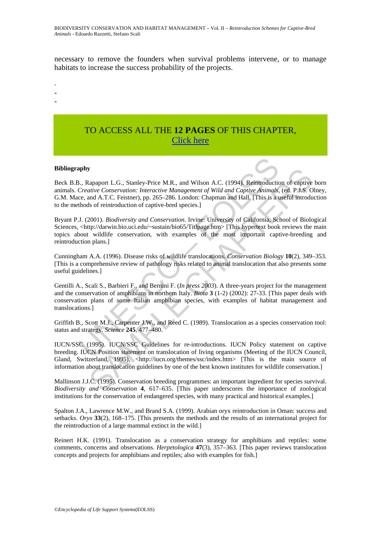necessary to remove the founders when survival problems intervene, or to manage habitats to increase the success probability of the projects.

- -
- -
- -

# TO ACCESS ALL THE **12 PAGES** OF THIS CHAPTER, [Click here](https://www.eolss.net/ebooklib/sc_cart.aspx?File=E1-67-07-04)

#### **Bibliography**

Beck B.B., Rapaport L.G., Stanley-Price M.R., and Wilson A.C. (1994). Reintroduction of captive born animals. *Creative Conservation: Interactive Management of Wild and Captive Animals*, (ed. P.J.S. Olney, G.M. Mace, and A.T.C. Feistner), pp. 265–286. London: Chapman and Hall. [This is a useful introduction to the methods of reintroduction of captive-bred species.]

Bryant P.J. (2001). *Biodiversity and Conservation*. Irvine: University of California, School of Biological Sciences, <http://darwin.bio.uci.edu/~sustain/bio65/Titlpage.htm> [This hypertext book reviews the main topics about wildlife conservation, with examples of the most important captive-breeding and reintroduction plans.]

Cunningham A.A. (1996). Disease risks of wildlife translocations. *Conservation Biology* **10**(2), 349–353. [This is a comprehensive review of pathology risks related to animal translocation that also presents some useful guidelines.]

**apply**<br> **apply**<br> **apply**<br> **alply**<br> **alply**<br> **Creative Conservation:** Interactive Management of Wild and Capitve Animals,<br>
Creative Conservation: Interactive Management of Wild and Capitve Animals,<br> **those** of A.T.C. Feisi **y**<br>
examport L.G., Stanley-Price M.R., and Wilson A.C. (1994). Reintroduction of eaptive<br>
direct Conservation: Interactive Management of Wild and Captive Animalis, total P.3.S.<br>
and A.T.C. Feistner, pp. 265–286. London: Gentilli A., Scali S., Barbieri F., and Bernini F. (*In press 2003*). A three-years project for the management and the conservation of amphibians in northern Italy. *Biota* **3** (1-2) (2002): 27-33. [This paper deals with conservation plans of some Italian amphibian species, with examples of habitat management and translocations.]

Griffith B., Scott M.J., Carpenter J.W., and Reed C. (1989). Translocation as a species conservation tool: status and strategy. *Science* **245**, 477–480.

IUCN/SSC (1995). IUCN/SSC Guidelines for re-introductions. IUCN Policy statement on captive breeding. IUCN Position statement on translocation of living organisms (Meeting of the IUCN Council, Gland, Switzerland, 1995), <http://iucn.org/themes/ssc/index.htm> [This is the main source of information about translocation guidelines by one of the best known institutes for wildlife conservation.]

Mallinson J.J.C. (1995). Conservation breeding programmes: an important ingredient for species survival. *Biodiversity and Conservation* **4**, 617–635. [This paper underscores the importance of zoological institutions for the conservation of endangered species, with many practical and historical examples.]

Spalton J.A., Lawrence M.W., and Brand S.A. (1999). Arabian oryx reintroduction in Oman: success and setbacks. *Oryx* **33**(2), 168–175. [This presents the methods and the results of an international project for the reintroduction of a large mammal extinct in the wild.]

Reinert H.K. (1991). Translocation as a conservation strategy for amphibians and reptiles: some comments, concerns and observations. *Herpetologica* **47**(3), 357–363. [This paper reviews translocation concepts and projects for amphibians and reptiles; also with examples for fish.]